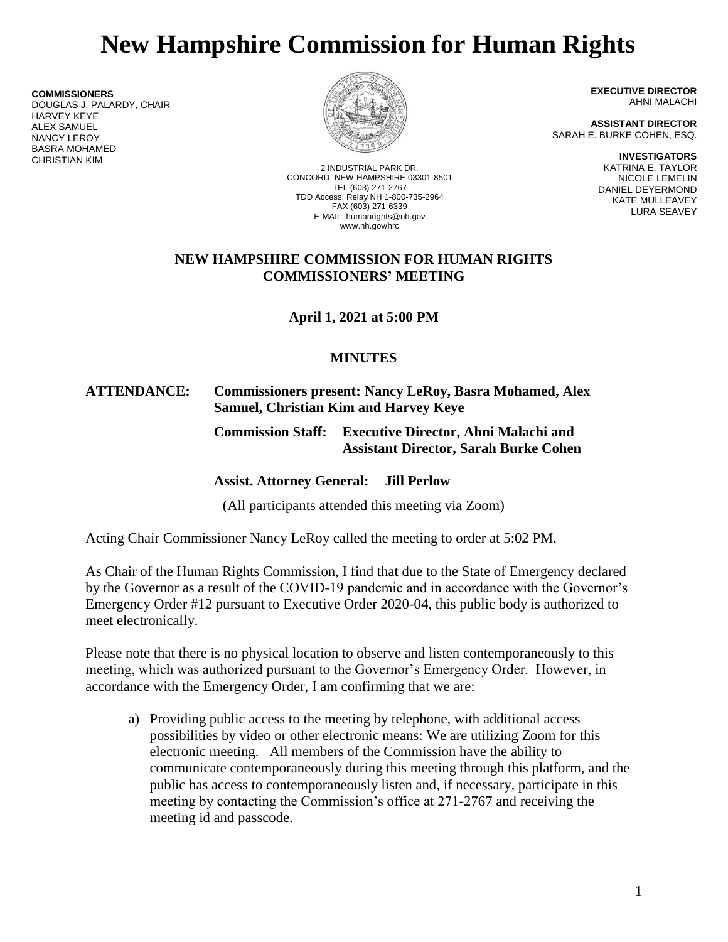# **New Hampshire Commission for Human Rights**

**COMMISSIONERS** DOUGLAS J. PALARDY, CHAIR HARVEY KEYE ALEX SAMUEL NANCY LEROY BASRA MOHAMED CHRISTIAN KIM



2 INDUSTRIAL PARK DR. CONCORD, NEW HAMPSHIRE 03301-8501 TEL (603) 271-2767 TDD Access: Relay NH 1-800-735-2964 FAX (603) 271-6339 E-MAIL: humanrights@nh.gov www.nh.gov/hrc

**EXECUTIVE DIRECTOR** AHNI MALACHI

**ASSISTANT DIRECTOR** SARAH E. BURKE COHEN, ESQ.

> **INVESTIGATORS** KATRINA E. TAYLOR NICOLE LEMELIN DANIEL DEYERMOND KATE MULLEAVEY LURA SEAVEY

#### **NEW HAMPSHIRE COMMISSION FOR HUMAN RIGHTS COMMISSIONERS' MEETING**

**April 1, 2021 at 5:00 PM**

## **MINUTES**

#### **ATTENDANCE: Commissioners present: Nancy LeRoy, Basra Mohamed, Alex Samuel, Christian Kim and Harvey Keye**

## **Commission Staff: Executive Director, Ahni Malachi and Assistant Director, Sarah Burke Cohen**

## **Assist. Attorney General: Jill Perlow**

(All participants attended this meeting via Zoom)

Acting Chair Commissioner Nancy LeRoy called the meeting to order at 5:02 PM.

As Chair of the Human Rights Commission, I find that due to the State of Emergency declared by the Governor as a result of the COVID-19 pandemic and in accordance with the Governor's Emergency Order #12 pursuant to Executive Order 2020-04, this public body is authorized to meet electronically.

Please note that there is no physical location to observe and listen contemporaneously to this meeting, which was authorized pursuant to the Governor's Emergency Order. However, in accordance with the Emergency Order, I am confirming that we are:

a) Providing public access to the meeting by telephone, with additional access possibilities by video or other electronic means: We are utilizing Zoom for this electronic meeting. All members of the Commission have the ability to communicate contemporaneously during this meeting through this platform, and the public has access to contemporaneously listen and, if necessary, participate in this meeting by contacting the Commission's office at 271-2767 and receiving the meeting id and passcode.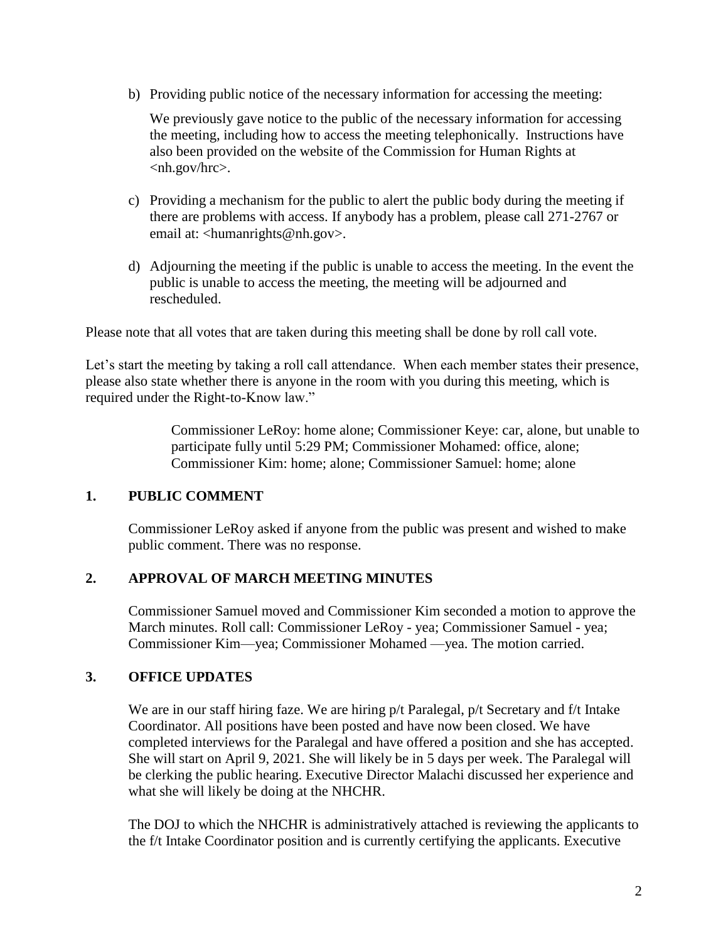b) Providing public notice of the necessary information for accessing the meeting:

We previously gave notice to the public of the necessary information for accessing the meeting, including how to access the meeting telephonically. Instructions have also been provided on the website of the Commission for Human Rights at <nh.gov/hrc>.

- c) Providing a mechanism for the public to alert the public body during the meeting if there are problems with access. If anybody has a problem, please call 271-2767 or email at: <humanrights@nh.gov>.
- d) Adjourning the meeting if the public is unable to access the meeting. In the event the public is unable to access the meeting, the meeting will be adjourned and rescheduled.

Please note that all votes that are taken during this meeting shall be done by roll call vote.

Let's start the meeting by taking a roll call attendance. When each member states their presence, please also state whether there is anyone in the room with you during this meeting, which is required under the Right-to-Know law."

> Commissioner LeRoy: home alone; Commissioner Keye: car, alone, but unable to participate fully until 5:29 PM; Commissioner Mohamed: office, alone; Commissioner Kim: home; alone; Commissioner Samuel: home; alone

#### **1. PUBLIC COMMENT**

Commissioner LeRoy asked if anyone from the public was present and wished to make public comment. There was no response.

#### **2. APPROVAL OF MARCH MEETING MINUTES**

Commissioner Samuel moved and Commissioner Kim seconded a motion to approve the March minutes. Roll call: Commissioner LeRoy - yea; Commissioner Samuel - yea; Commissioner Kim—yea; Commissioner Mohamed —yea. The motion carried.

#### **3. OFFICE UPDATES**

We are in our staff hiring faze. We are hiring  $p/t$  Paralegal,  $p/t$  Secretary and f/t Intake Coordinator. All positions have been posted and have now been closed. We have completed interviews for the Paralegal and have offered a position and she has accepted. She will start on April 9, 2021. She will likely be in 5 days per week. The Paralegal will be clerking the public hearing. Executive Director Malachi discussed her experience and what she will likely be doing at the NHCHR.

The DOJ to which the NHCHR is administratively attached is reviewing the applicants to the f/t Intake Coordinator position and is currently certifying the applicants. Executive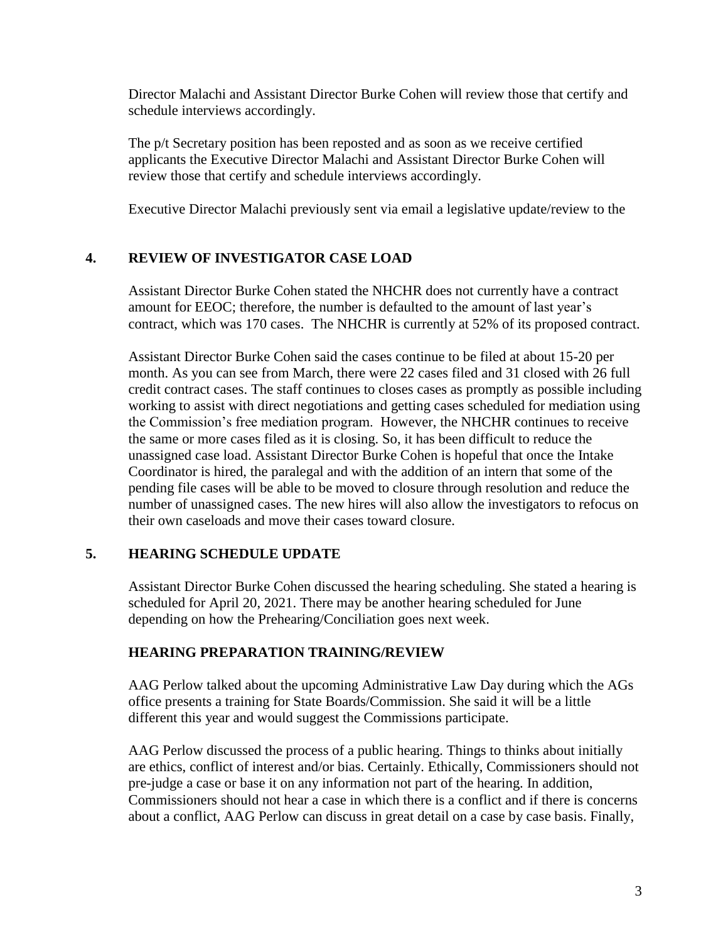Director Malachi and Assistant Director Burke Cohen will review those that certify and schedule interviews accordingly.

The p/t Secretary position has been reposted and as soon as we receive certified applicants the Executive Director Malachi and Assistant Director Burke Cohen will review those that certify and schedule interviews accordingly.

Executive Director Malachi previously sent via email a legislative update/review to the

## **4. REVIEW OF INVESTIGATOR CASE LOAD**

Assistant Director Burke Cohen stated the NHCHR does not currently have a contract amount for EEOC; therefore, the number is defaulted to the amount of last year's contract, which was 170 cases. The NHCHR is currently at 52% of its proposed contract.

Assistant Director Burke Cohen said the cases continue to be filed at about 15-20 per month. As you can see from March, there were 22 cases filed and 31 closed with 26 full credit contract cases. The staff continues to closes cases as promptly as possible including working to assist with direct negotiations and getting cases scheduled for mediation using the Commission's free mediation program. However, the NHCHR continues to receive the same or more cases filed as it is closing. So, it has been difficult to reduce the unassigned case load. Assistant Director Burke Cohen is hopeful that once the Intake Coordinator is hired, the paralegal and with the addition of an intern that some of the pending file cases will be able to be moved to closure through resolution and reduce the number of unassigned cases. The new hires will also allow the investigators to refocus on their own caseloads and move their cases toward closure.

#### **5. HEARING SCHEDULE UPDATE**

Assistant Director Burke Cohen discussed the hearing scheduling. She stated a hearing is scheduled for April 20, 2021. There may be another hearing scheduled for June depending on how the Prehearing/Conciliation goes next week.

#### **HEARING PREPARATION TRAINING/REVIEW**

AAG Perlow talked about the upcoming Administrative Law Day during which the AGs office presents a training for State Boards/Commission. She said it will be a little different this year and would suggest the Commissions participate.

AAG Perlow discussed the process of a public hearing. Things to thinks about initially are ethics, conflict of interest and/or bias. Certainly. Ethically, Commissioners should not pre-judge a case or base it on any information not part of the hearing. In addition, Commissioners should not hear a case in which there is a conflict and if there is concerns about a conflict, AAG Perlow can discuss in great detail on a case by case basis. Finally,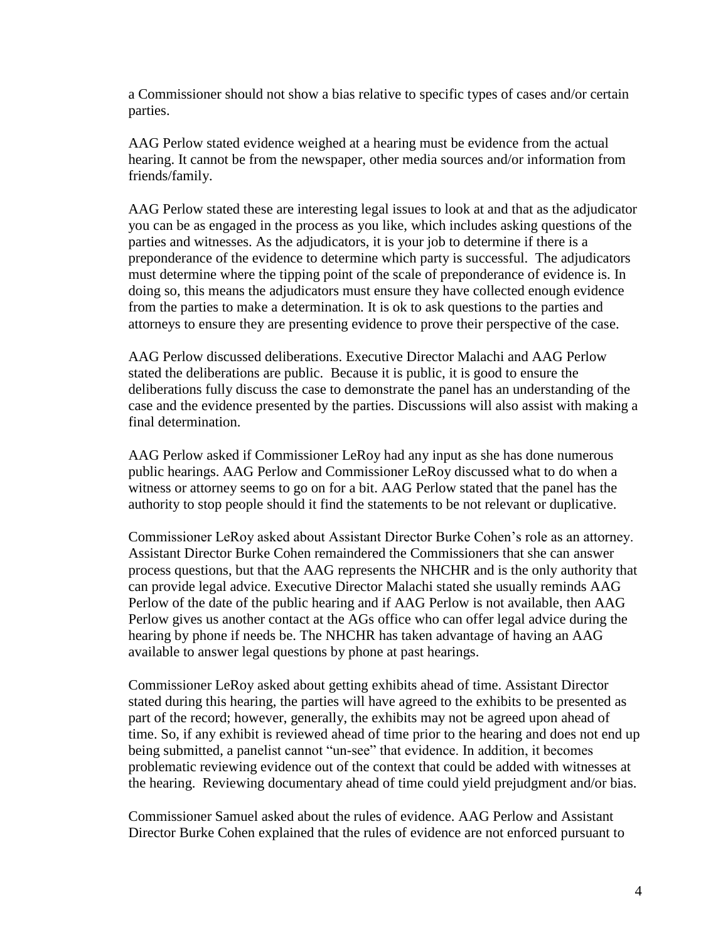a Commissioner should not show a bias relative to specific types of cases and/or certain parties.

AAG Perlow stated evidence weighed at a hearing must be evidence from the actual hearing. It cannot be from the newspaper, other media sources and/or information from friends/family.

AAG Perlow stated these are interesting legal issues to look at and that as the adjudicator you can be as engaged in the process as you like, which includes asking questions of the parties and witnesses. As the adjudicators, it is your job to determine if there is a preponderance of the evidence to determine which party is successful. The adjudicators must determine where the tipping point of the scale of preponderance of evidence is. In doing so, this means the adjudicators must ensure they have collected enough evidence from the parties to make a determination. It is ok to ask questions to the parties and attorneys to ensure they are presenting evidence to prove their perspective of the case.

AAG Perlow discussed deliberations. Executive Director Malachi and AAG Perlow stated the deliberations are public. Because it is public, it is good to ensure the deliberations fully discuss the case to demonstrate the panel has an understanding of the case and the evidence presented by the parties. Discussions will also assist with making a final determination.

AAG Perlow asked if Commissioner LeRoy had any input as she has done numerous public hearings. AAG Perlow and Commissioner LeRoy discussed what to do when a witness or attorney seems to go on for a bit. AAG Perlow stated that the panel has the authority to stop people should it find the statements to be not relevant or duplicative.

Commissioner LeRoy asked about Assistant Director Burke Cohen's role as an attorney. Assistant Director Burke Cohen remaindered the Commissioners that she can answer process questions, but that the AAG represents the NHCHR and is the only authority that can provide legal advice. Executive Director Malachi stated she usually reminds AAG Perlow of the date of the public hearing and if AAG Perlow is not available, then AAG Perlow gives us another contact at the AGs office who can offer legal advice during the hearing by phone if needs be. The NHCHR has taken advantage of having an AAG available to answer legal questions by phone at past hearings.

Commissioner LeRoy asked about getting exhibits ahead of time. Assistant Director stated during this hearing, the parties will have agreed to the exhibits to be presented as part of the record; however, generally, the exhibits may not be agreed upon ahead of time. So, if any exhibit is reviewed ahead of time prior to the hearing and does not end up being submitted, a panelist cannot "un-see" that evidence. In addition, it becomes problematic reviewing evidence out of the context that could be added with witnesses at the hearing. Reviewing documentary ahead of time could yield prejudgment and/or bias.

Commissioner Samuel asked about the rules of evidence. AAG Perlow and Assistant Director Burke Cohen explained that the rules of evidence are not enforced pursuant to